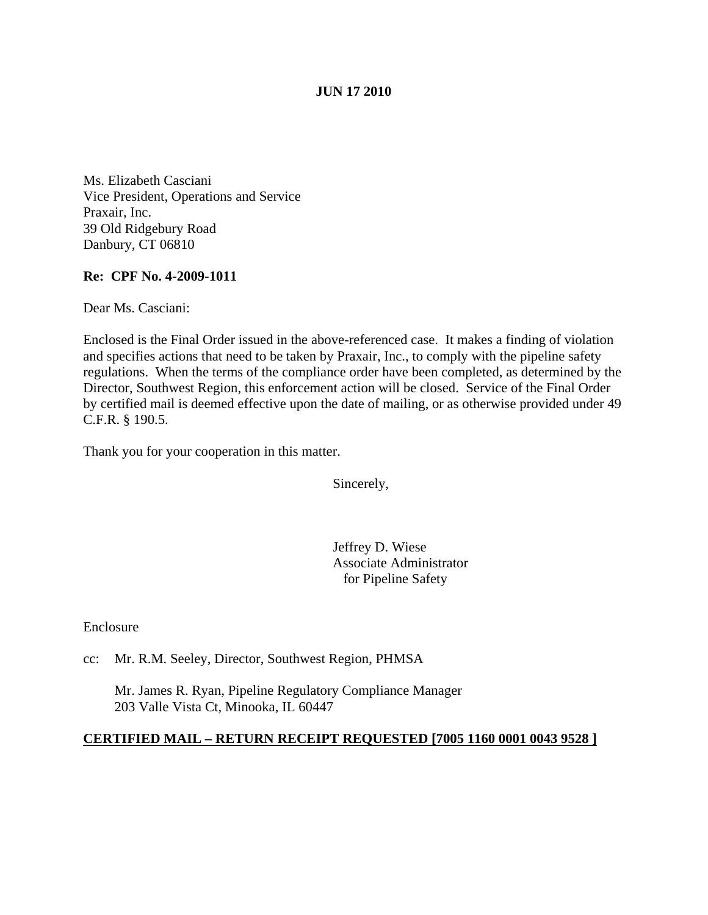### **JUN 17 2010**

Ms. Elizabeth Casciani Vice President, Operations and Service Praxair, Inc. 39 Old Ridgebury Road Danbury, CT 06810

### **Re: CPF No. 4-2009-1011**

Dear Ms. Casciani:

Enclosed is the Final Order issued in the above-referenced case. It makes a finding of violation and specifies actions that need to be taken by Praxair, Inc., to comply with the pipeline safety regulations. When the terms of the compliance order have been completed, as determined by the Director, Southwest Region, this enforcement action will be closed. Service of the Final Order by certified mail is deemed effective upon the date of mailing, or as otherwise provided under 49 C.F.R. § 190.5.

Thank you for your cooperation in this matter.

Sincerely,

Jeffrey D. Wiese Associate Administrator for Pipeline Safety

Enclosure

cc: Mr. R.M. Seeley, Director, Southwest Region, PHMSA

Mr. James R. Ryan, Pipeline Regulatory Compliance Manager 203 Valle Vista Ct, Minooka, IL 60447

#### **CERTIFIED MAIL – RETURN RECEIPT REQUESTED [7005 1160 0001 0043 9528 ]**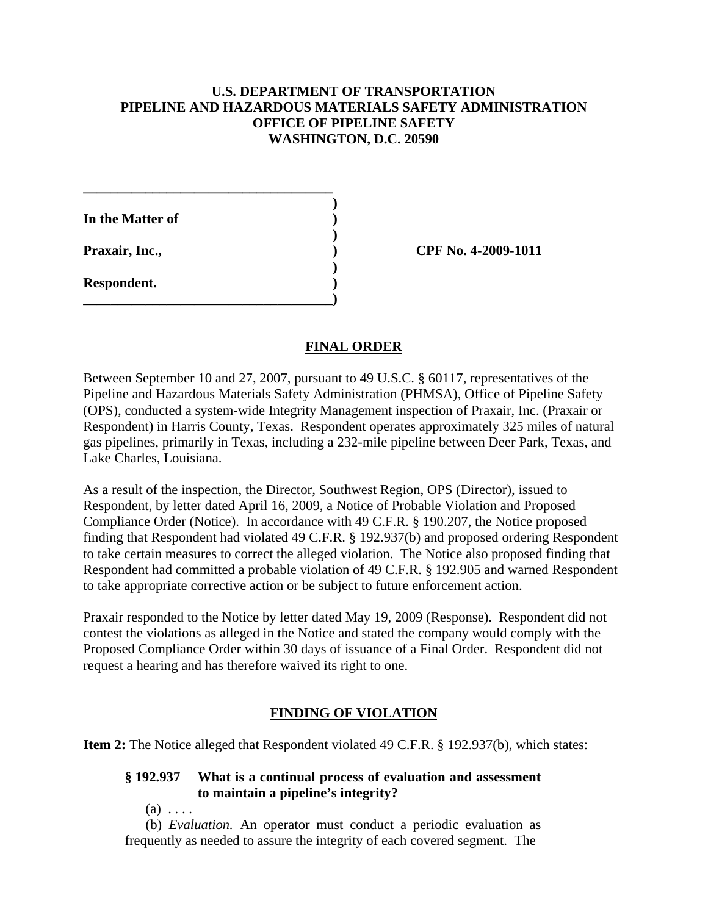## **U.S. DEPARTMENT OF TRANSPORTATION PIPELINE AND HAZARDOUS MATERIALS SAFETY ADMINISTRATION OFFICE OF PIPELINE SAFETY WASHINGTON, D.C. 20590**

| In the Matter of |  |
|------------------|--|
| Praxair, Inc.,   |  |
| Respondent.      |  |

**\_\_\_\_\_\_\_\_\_\_\_\_\_\_\_\_\_\_\_\_\_\_\_\_\_\_\_\_\_\_\_\_\_\_\_\_**

**Praxair, Inc., ) CPF No. 4-2009-1011**

## **FINAL ORDER**

Between September 10 and 27, 2007, pursuant to 49 U.S.C. § 60117, representatives of the Pipeline and Hazardous Materials Safety Administration (PHMSA), Office of Pipeline Safety (OPS), conducted a system-wide Integrity Management inspection of Praxair, Inc. (Praxair or Respondent) in Harris County, Texas. Respondent operates approximately 325 miles of natural gas pipelines, primarily in Texas, including a 232-mile pipeline between Deer Park, Texas, and Lake Charles, Louisiana.

As a result of the inspection, the Director, Southwest Region, OPS (Director), issued to Respondent, by letter dated April 16, 2009, a Notice of Probable Violation and Proposed Compliance Order (Notice). In accordance with 49 C.F.R. § 190.207, the Notice proposed finding that Respondent had violated 49 C.F.R. § 192.937(b) and proposed ordering Respondent to take certain measures to correct the alleged violation. The Notice also proposed finding that Respondent had committed a probable violation of 49 C.F.R. § 192.905 and warned Respondent to take appropriate corrective action or be subject to future enforcement action.

Praxair responded to the Notice by letter dated May 19, 2009 (Response). Respondent did not contest the violations as alleged in the Notice and stated the company would comply with the Proposed Compliance Order within 30 days of issuance of a Final Order. Respondent did not request a hearing and has therefore waived its right to one.

## **FINDING OF VIOLATION**

**Item 2:** The Notice alleged that Respondent violated 49 C.F.R. § 192.937(b), which states:

# **§ 192.937 What is a continual process of evaluation and assessment to maintain a pipeline's integrity?**

 $(a) \ldots$ 

(b) *Evaluation.* An operator must conduct a periodic evaluation as frequently as needed to assure the integrity of each covered segment. The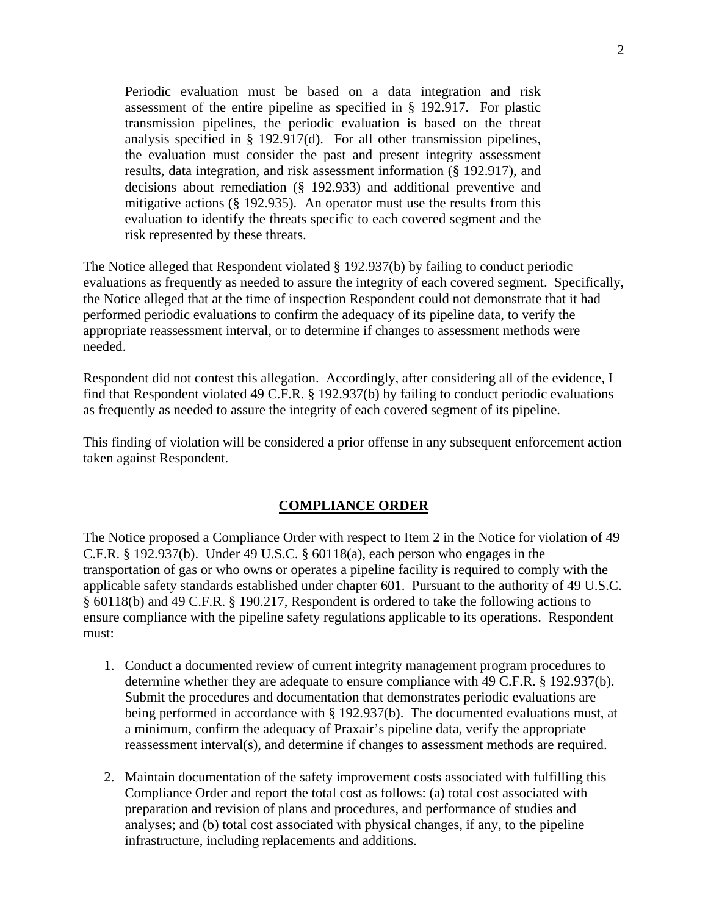Periodic evaluation must be based on a data integration and risk assessment of the entire pipeline as specified in § 192.917. For plastic transmission pipelines, the periodic evaluation is based on the threat analysis specified in § 192.917(d). For all other transmission pipelines, the evaluation must consider the past and present integrity assessment results, data integration, and risk assessment information (§ 192.917), and decisions about remediation (§ 192.933) and additional preventive and mitigative actions (§ 192.935). An operator must use the results from this evaluation to identify the threats specific to each covered segment and the risk represented by these threats.

The Notice alleged that Respondent violated § 192.937(b) by failing to conduct periodic evaluations as frequently as needed to assure the integrity of each covered segment. Specifically, the Notice alleged that at the time of inspection Respondent could not demonstrate that it had performed periodic evaluations to confirm the adequacy of its pipeline data, to verify the appropriate reassessment interval, or to determine if changes to assessment methods were needed.

Respondent did not contest this allegation. Accordingly, after considering all of the evidence, I find that Respondent violated 49 C.F.R. § 192.937(b) by failing to conduct periodic evaluations as frequently as needed to assure the integrity of each covered segment of its pipeline.

This finding of violation will be considered a prior offense in any subsequent enforcement action taken against Respondent.

#### **COMPLIANCE ORDER**

The Notice proposed a Compliance Order with respect to Item 2 in the Notice for violation of 49 C.F.R.  $\S$  192.937(b). Under 49 U.S.C.  $\S$  60118(a), each person who engages in the transportation of gas or who owns or operates a pipeline facility is required to comply with the applicable safety standards established under chapter 601. Pursuant to the authority of 49 U.S.C. § 60118(b) and 49 C.F.R. § 190.217, Respondent is ordered to take the following actions to ensure compliance with the pipeline safety regulations applicable to its operations. Respondent must:

- 1. Conduct a documented review of current integrity management program procedures to determine whether they are adequate to ensure compliance with 49 C.F.R. § 192.937(b). Submit the procedures and documentation that demonstrates periodic evaluations are being performed in accordance with § 192.937(b). The documented evaluations must, at a minimum, confirm the adequacy of Praxair's pipeline data, verify the appropriate reassessment interval(s), and determine if changes to assessment methods are required.
- 2. Maintain documentation of the safety improvement costs associated with fulfilling this Compliance Order and report the total cost as follows: (a) total cost associated with preparation and revision of plans and procedures, and performance of studies and analyses; and (b) total cost associated with physical changes, if any, to the pipeline infrastructure, including replacements and additions.